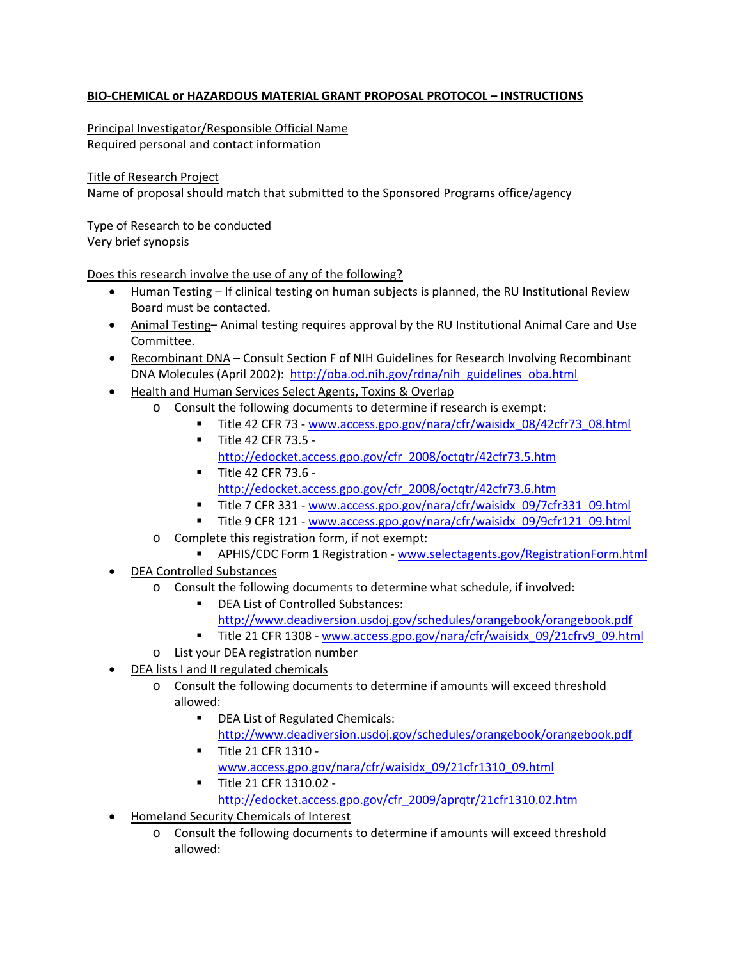## **BIO‐CHEMICAL or HAZARDOUS MATERIAL GRANT PROPOSAL PROTOCOL – INSTRUCTIONS**

Principal Investigator/Responsible Official Name Required personal and contact information

Title of Research Project

Name of proposal should match that submitted to the Sponsored Programs office/agency

Type of Research to be conducted

Very brief synopsis

Does this research involve the use of any of the following?

- Human Testing If clinical testing on human subjects is planned, the RU Institutional Review Board must be contacted.
- Animal Testing– Animal testing requires approval by the RU Institutional Animal Care and Use Committee.
- Recombinant DNA Consult Section F of NIH Guidelines for Research Involving Recombinant DNA Molecules (April 2002): [http://oba.od.nih.gov/rdna/nih\\_guidelines\\_oba.html](http://oba.od.nih.gov/rdna/nih_guidelines_oba.html)
- Health and Human Services Select Agents, Toxins & Overlap
	- o Consult the following documents to determine if research is exempt:
		- Title 42 CFR 73 ‐ [www.access.gpo.gov/nara/cfr/waisidx\\_08/42cfr73\\_08.html](http://www.access.gpo.gov/nara/cfr/waisidx_08/42cfr73_08.html)
		- Title 42 CFR 73.5 [http://edocket.access.gpo.gov/cfr\\_2008/octqtr/42cfr73.5.htm](http://edocket.access.gpo.gov/cfr_2008/octqtr/42cfr73.5.htm)
		- **Title 42 CFR 73.6** [http://edocket.access.gpo.gov/cfr\\_2008/octqtr/42cfr73.6.htm](http://edocket.access.gpo.gov/cfr_2008/octqtr/42cfr73.6.htm)
		- Title 7 CFR 331 [www.access.gpo.gov/nara/cfr/waisidx\\_09/7cfr331\\_09.html](http://www.access.gpo.gov/nara/cfr/waisidx_09/7cfr331_09.html)
		- Title 9 CFR 121 [www.access.gpo.gov/nara/cfr/waisidx\\_09/9cfr121\\_09.html](http://www.access.gpo.gov/nara/cfr/waisidx_09/9cfr121_09.html)
	- o Complete this registration form, if not exempt:
		- APHIS/CDC Form 1 Registration [www.selectagents.gov/RegistrationForm.html](http://www.selectagents.gov/RegistrationForm.html)
- DEA Controlled Substances
	- o Consult the following documents to determine what schedule, if involved:
		- **DEA List of Controlled Substances:** 
			- <http://www.deadiversion.usdoj.gov/schedules/orangebook/orangebook.pdf>
		- Title 21 CFR 1308 www.access.gpo.gov/nara/cfr/waisidx 09/21cfrv9 09.html
	- o List your DEA registration number
- DEA lists I and II regulated chemicals
	- o Consult the following documents to determine if amounts will exceed threshold allowed:
		- **DEA List of Regulated Chemicals:** <http://www.deadiversion.usdoj.gov/schedules/orangebook/orangebook.pdf>
		- Title 21 CFR 1310 [www.access.gpo.gov/nara/cfr/waisidx\\_09/21cfr1310\\_09.html](http://www.access.gpo.gov/nara/cfr/waisidx_09/21cfr1310_09.html)
		- Title 21 CFR 1310.02 [http://edocket.access.gpo.gov/cfr\\_2009/aprqtr/21cfr1310.02.htm](http://edocket.access.gpo.gov/cfr_2009/aprqtr/21cfr1310.02.htm)
- Homeland Security Chemicals of Interest
	- o Consult the following documents to determine if amounts will exceed threshold allowed: